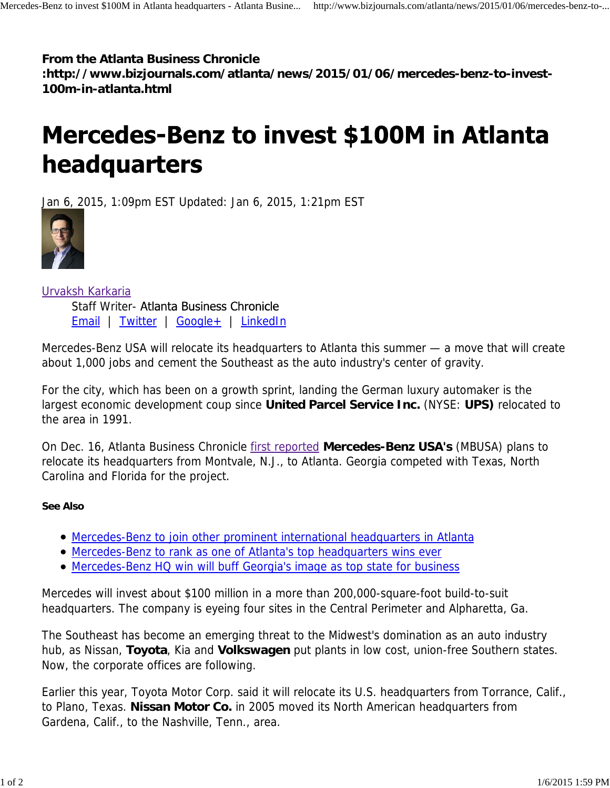## **From the Atlanta Business Chronicle**

**:http://www.bizjournals.com/atlanta/news/2015/01/06/mercedes-benz-to-invest-100m-in-atlanta.html**

## **Mercedes-Benz to invest \$100M in Atlanta** headquarters

Jan 6, 2015, 1:09pm EST Updated: Jan 6, 2015, 1:21pm EST



Urvaksh Karkaria Staff Writer- Atlanta Business Chronicle Email | Twitter | Google+ | LinkedIn

Mercedes-Benz USA will relocate its headquarters to Atlanta this summer — a move that will create about 1,000 jobs and cement the Southeast as the auto industry's center of gravity.

For the city, which has been on a growth sprint, landing the German luxury automaker is the largest economic development coup since **United Parcel Service Inc.** (NYSE: **UPS)** relocated to the area in 1991.

On Dec. 16, Atlanta Business Chronicle first reported **Mercedes-Benz USA's** (MBUSA) plans to relocate its headquarters from Montvale, N.J., to Atlanta. Georgia competed with Texas, North Carolina and Florida for the project.

## **See Also**

- Mercedes-Benz to join other prominent international headquarters in Atlanta
- Mercedes-Benz to rank as one of Atlanta's top headquarters wins ever
- Mercedes-Benz HQ win will buff Georgia's image as top state for business

Mercedes will invest about \$100 million in a more than 200,000-square-foot build-to-suit headquarters. The company is eyeing four sites in the Central Perimeter and Alpharetta, Ga.

The Southeast has become an emerging threat to the Midwest's domination as an auto industry hub, as Nissan, **Toyota**, Kia and **Volkswagen** put plants in low cost, union-free Southern states. Now, the corporate offices are following.

Earlier this year, Toyota Motor Corp. said it will relocate its U.S. headquarters from Torrance, Calif., to Plano, Texas. **Nissan Motor Co.** in 2005 moved its North American headquarters from Gardena, Calif., to the Nashville, Tenn., area.